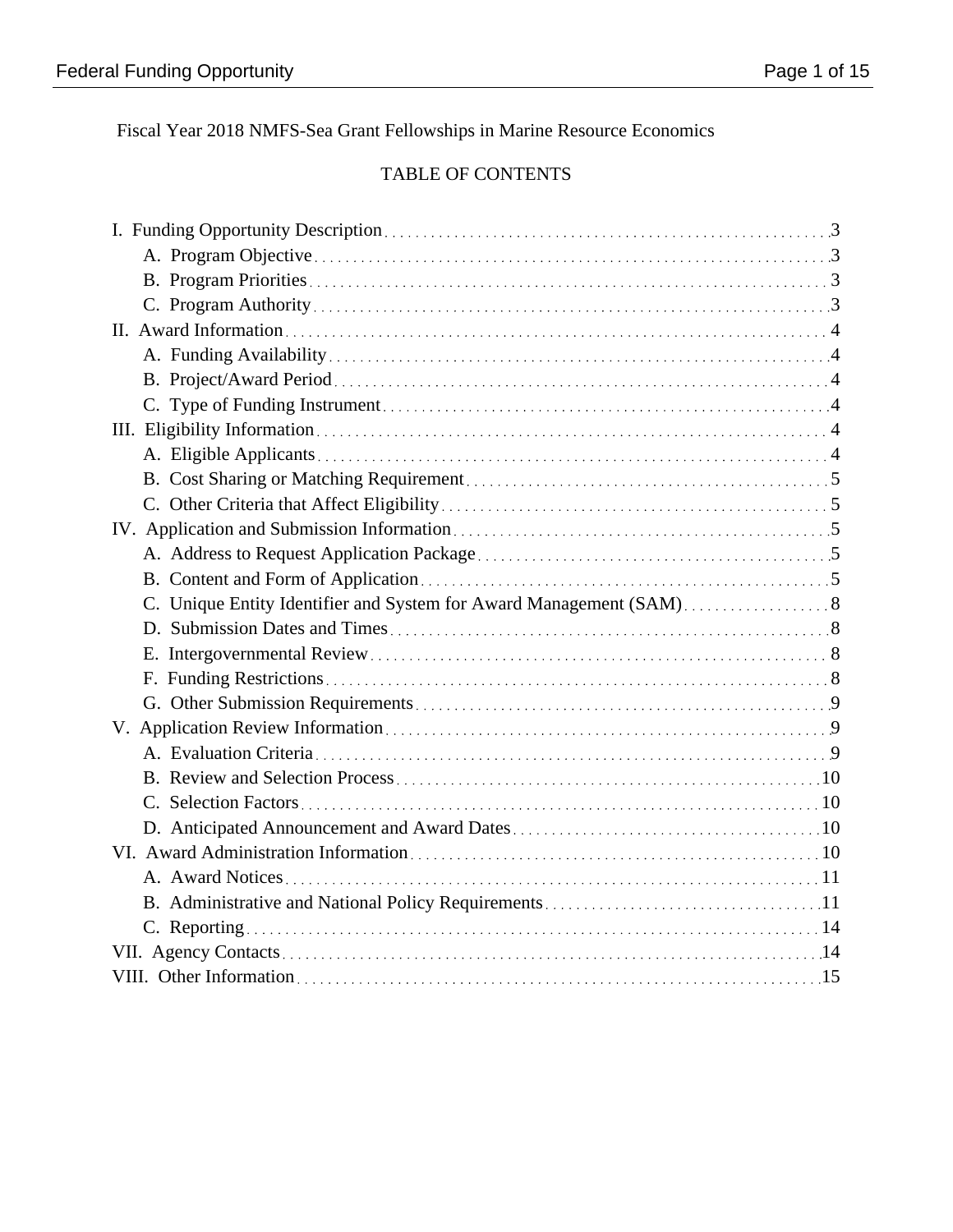Fiscal Year 2018 NMFS-Sea Grant Fellowships in Marine Resource Economics

# TABLE OF CONTENTS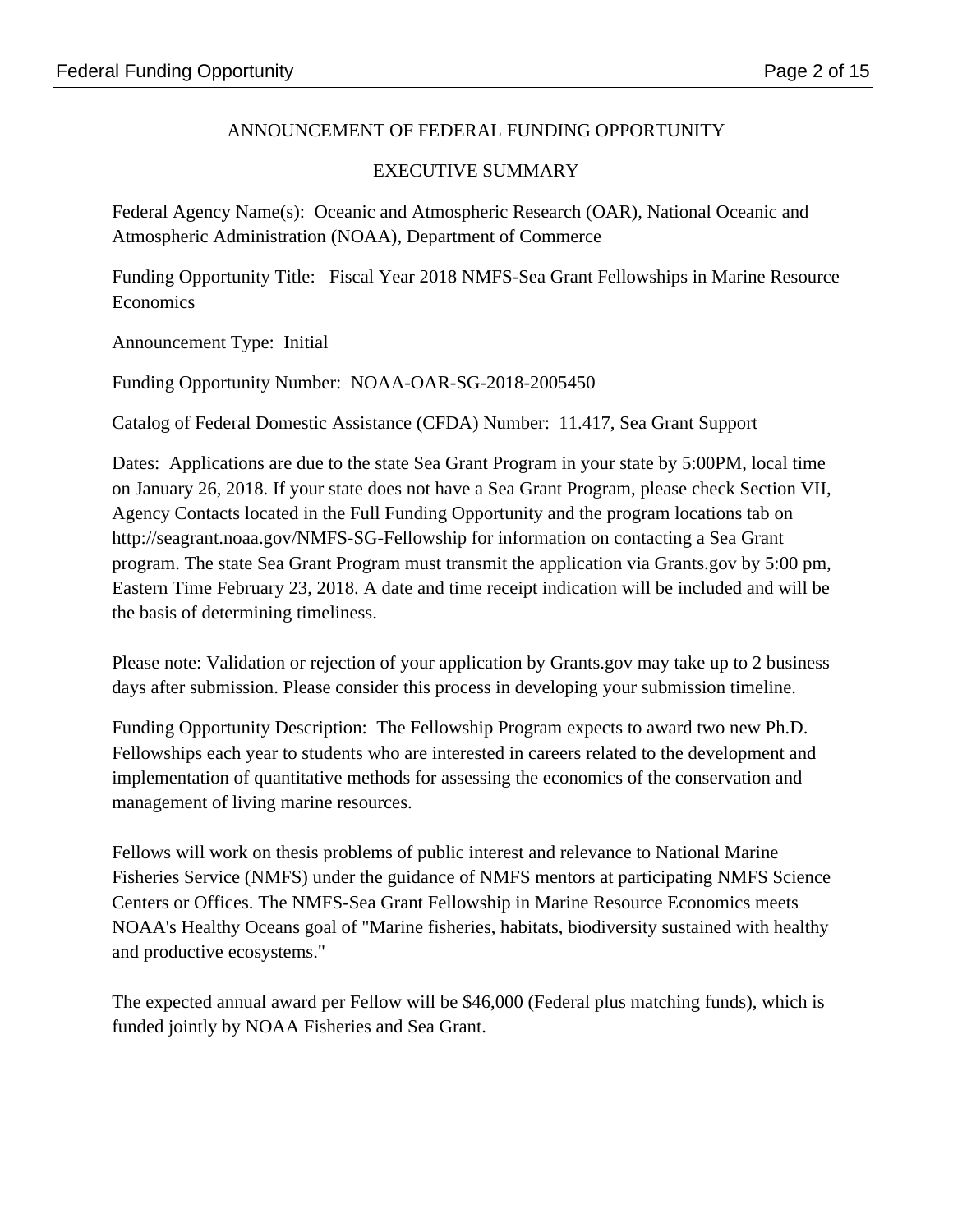# ANNOUNCEMENT OF FEDERAL FUNDING OPPORTUNITY

## EXECUTIVE SUMMARY

Federal Agency Name(s): Oceanic and Atmospheric Research (OAR), National Oceanic and Atmospheric Administration (NOAA), Department of Commerce

Funding Opportunity Title: Fiscal Year 2018 NMFS-Sea Grant Fellowships in Marine Resource Economics

Announcement Type: Initial

Funding Opportunity Number: NOAA-OAR-SG-2018-2005450

Catalog of Federal Domestic Assistance (CFDA) Number: 11.417, Sea Grant Support

Dates: Applications are due to the state Sea Grant Program in your state by 5:00PM, local time on January 26, 2018. If your state does not have a Sea Grant Program, please check Section VII, Agency Contacts located in the Full Funding Opportunity and the program locations tab on http://seagrant.noaa.gov/NMFS-SG-Fellowship for information on contacting a Sea Grant program. The state Sea Grant Program must transmit the application via Grants.gov by 5:00 pm, Eastern Time February 23, 2018. A date and time receipt indication will be included and will be the basis of determining timeliness.

Please note: Validation or rejection of your application by Grants.gov may take up to 2 business days after submission. Please consider this process in developing your submission timeline.

Funding Opportunity Description: The Fellowship Program expects to award two new Ph.D. Fellowships each year to students who are interested in careers related to the development and implementation of quantitative methods for assessing the economics of the conservation and management of living marine resources.

Fellows will work on thesis problems of public interest and relevance to National Marine Fisheries Service (NMFS) under the guidance of NMFS mentors at participating NMFS Science Centers or Offices. The NMFS-Sea Grant Fellowship in Marine Resource Economics meets NOAA's Healthy Oceans goal of "Marine fisheries, habitats, biodiversity sustained with healthy and productive ecosystems."

The expected annual award per Fellow will be \$46,000 (Federal plus matching funds), which is funded jointly by NOAA Fisheries and Sea Grant.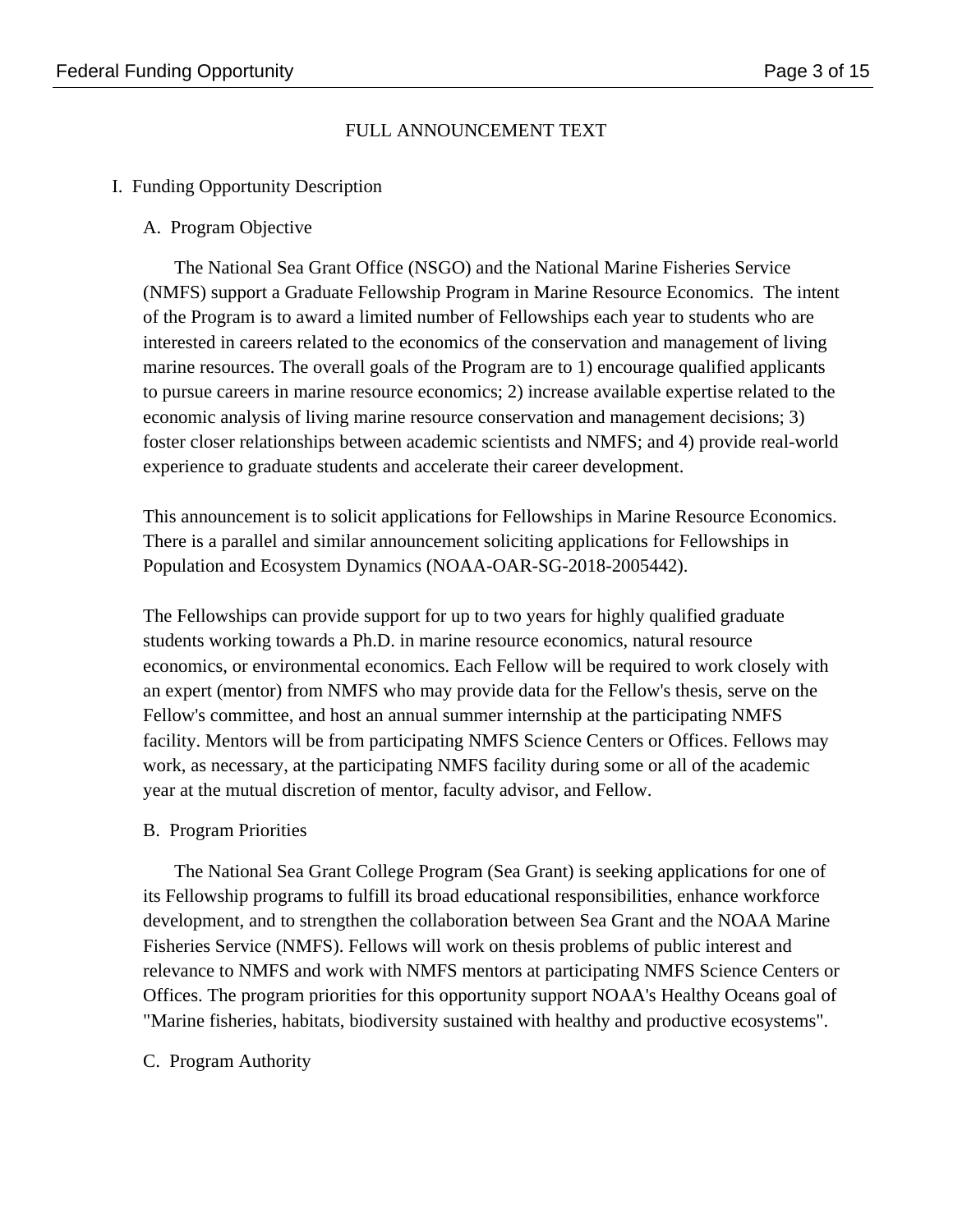## FULL ANNOUNCEMENT TEXT

### I. Funding Opportunity Description

A. Program Objective

The National Sea Grant Office (NSGO) and the National Marine Fisheries Service (NMFS) support a Graduate Fellowship Program in Marine Resource Economics. The intent of the Program is to award a limited number of Fellowships each year to students who are interested in careers related to the economics of the conservation and management of living marine resources. The overall goals of the Program are to 1) encourage qualified applicants to pursue careers in marine resource economics; 2) increase available expertise related to the economic analysis of living marine resource conservation and management decisions; 3) foster closer relationships between academic scientists and NMFS; and 4) provide real-world experience to graduate students and accelerate their career development.

This announcement is to solicit applications for Fellowships in Marine Resource Economics. There is a parallel and similar announcement soliciting applications for Fellowships in Population and Ecosystem Dynamics (NOAA-OAR-SG-2018-2005442).

The Fellowships can provide support for up to two years for highly qualified graduate students working towards a Ph.D. in marine resource economics, natural resource economics, or environmental economics. Each Fellow will be required to work closely with an expert (mentor) from NMFS who may provide data for the Fellow's thesis, serve on the Fellow's committee, and host an annual summer internship at the participating NMFS facility. Mentors will be from participating NMFS Science Centers or Offices. Fellows may work, as necessary, at the participating NMFS facility during some or all of the academic year at the mutual discretion of mentor, faculty advisor, and Fellow.

B. Program Priorities

The National Sea Grant College Program (Sea Grant) is seeking applications for one of its Fellowship programs to fulfill its broad educational responsibilities, enhance workforce development, and to strengthen the collaboration between Sea Grant and the NOAA Marine Fisheries Service (NMFS). Fellows will work on thesis problems of public interest and relevance to NMFS and work with NMFS mentors at participating NMFS Science Centers or Offices. The program priorities for this opportunity support NOAA's Healthy Oceans goal of "Marine fisheries, habitats, biodiversity sustained with healthy and productive ecosystems".

### C. Program Authority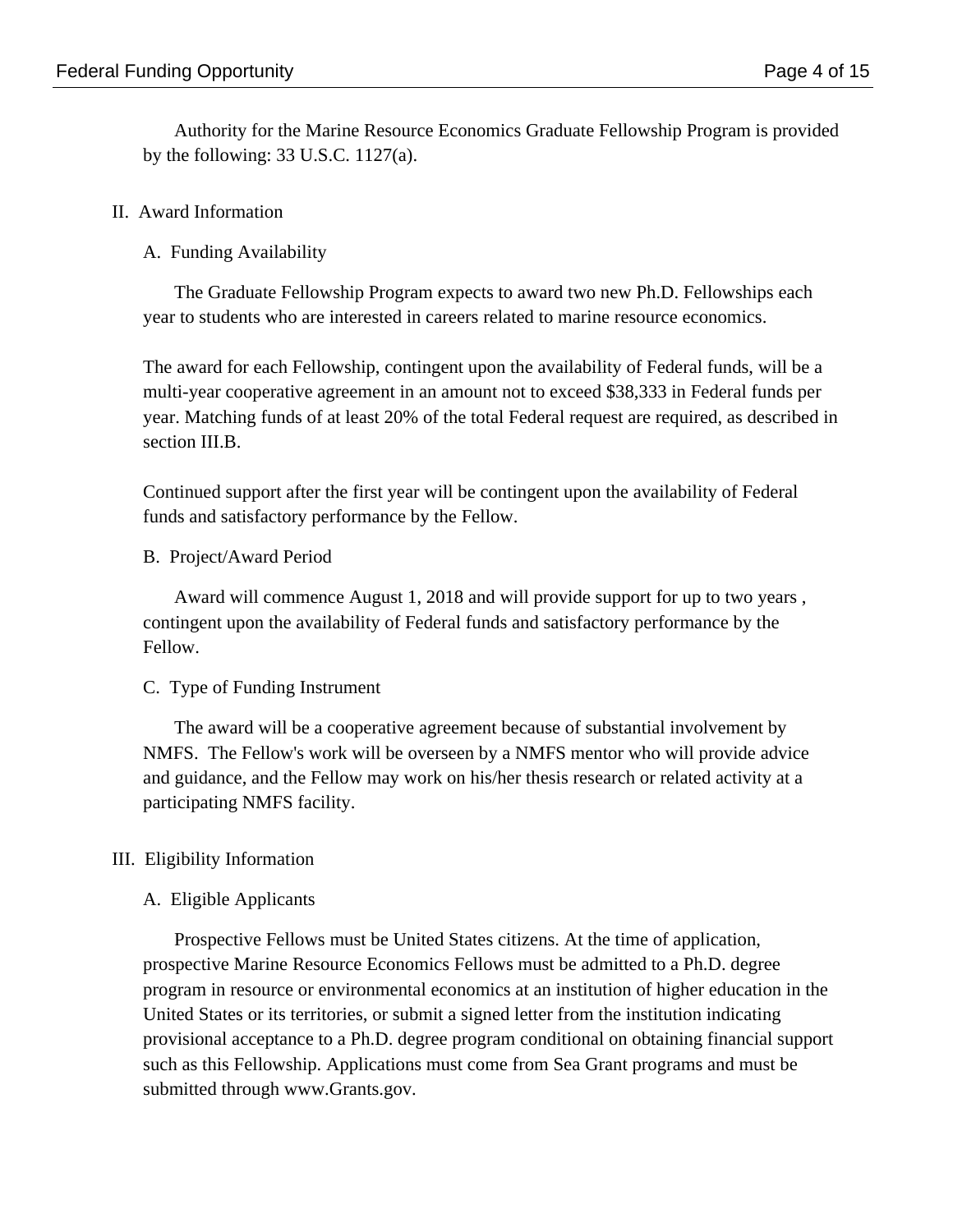Authority for the Marine Resource Economics Graduate Fellowship Program is provided by the following:  $33 \text{ U.S.C. } 1127(a)$ .

### II. Award Information

A. Funding Availability

The Graduate Fellowship Program expects to award two new Ph.D. Fellowships each year to students who are interested in careers related to marine resource economics.

The award for each Fellowship, contingent upon the availability of Federal funds, will be a multi-year cooperative agreement in an amount not to exceed \$38,333 in Federal funds per year. Matching funds of at least 20% of the total Federal request are required, as described in section III.B.

Continued support after the first year will be contingent upon the availability of Federal funds and satisfactory performance by the Fellow.

B. Project/Award Period

Award will commence August 1, 2018 and will provide support for up to two years , contingent upon the availability of Federal funds and satisfactory performance by the Fellow.

C. Type of Funding Instrument

The award will be a cooperative agreement because of substantial involvement by NMFS. The Fellow's work will be overseen by a NMFS mentor who will provide advice and guidance, and the Fellow may work on his/her thesis research or related activity at a participating NMFS facility.

### III. Eligibility Information

### A. Eligible Applicants

Prospective Fellows must be United States citizens. At the time of application, prospective Marine Resource Economics Fellows must be admitted to a Ph.D. degree program in resource or environmental economics at an institution of higher education in the United States or its territories, or submit a signed letter from the institution indicating provisional acceptance to a Ph.D. degree program conditional on obtaining financial support such as this Fellowship. Applications must come from Sea Grant programs and must be submitted through www.Grants.gov.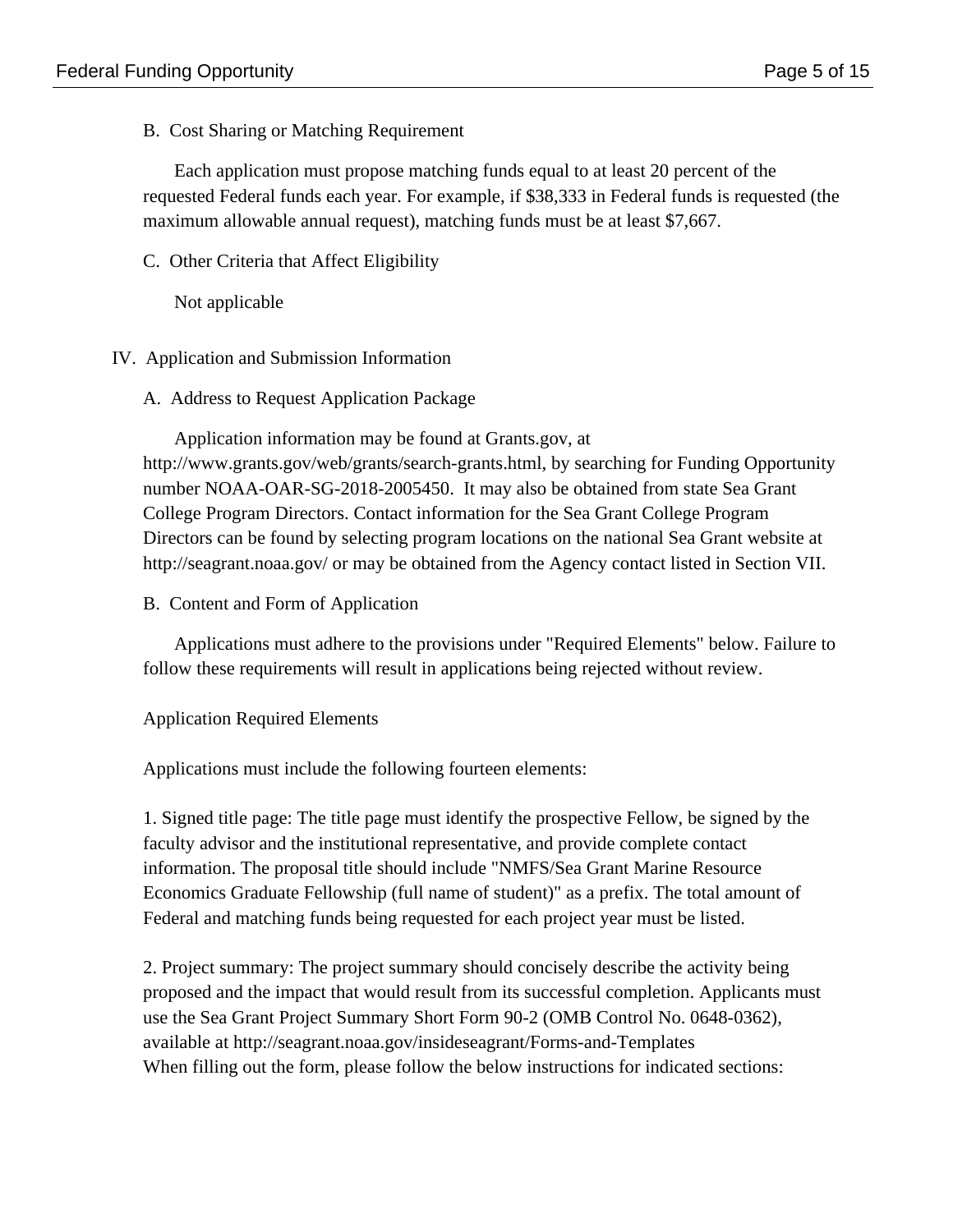B. Cost Sharing or Matching Requirement

Each application must propose matching funds equal to at least 20 percent of the requested Federal funds each year. For example, if \$38,333 in Federal funds is requested (the maximum allowable annual request), matching funds must be at least \$7,667.

C. Other Criteria that Affect Eligibility

Not applicable

### IV. Application and Submission Information

A. Address to Request Application Package

Application information may be found at Grants.gov, at http://www.grants.gov/web/grants/search-grants.html, by searching for Funding Opportunity number NOAA-OAR-SG-2018-2005450. It may also be obtained from state Sea Grant College Program Directors. Contact information for the Sea Grant College Program Directors can be found by selecting program locations on the national Sea Grant website at http://seagrant.noaa.gov/ or may be obtained from the Agency contact listed in Section VII.

B. Content and Form of Application

Applications must adhere to the provisions under "Required Elements" below. Failure to follow these requirements will result in applications being rejected without review.

Application Required Elements

Applications must include the following fourteen elements:

1. Signed title page: The title page must identify the prospective Fellow, be signed by the faculty advisor and the institutional representative, and provide complete contact information. The proposal title should include "NMFS/Sea Grant Marine Resource Economics Graduate Fellowship (full name of student)" as a prefix. The total amount of Federal and matching funds being requested for each project year must be listed.

2. Project summary: The project summary should concisely describe the activity being proposed and the impact that would result from its successful completion. Applicants must use the Sea Grant Project Summary Short Form 90-2 (OMB Control No. 0648-0362), available at http://seagrant.noaa.gov/insideseagrant/Forms-and-Templates When filling out the form, please follow the below instructions for indicated sections: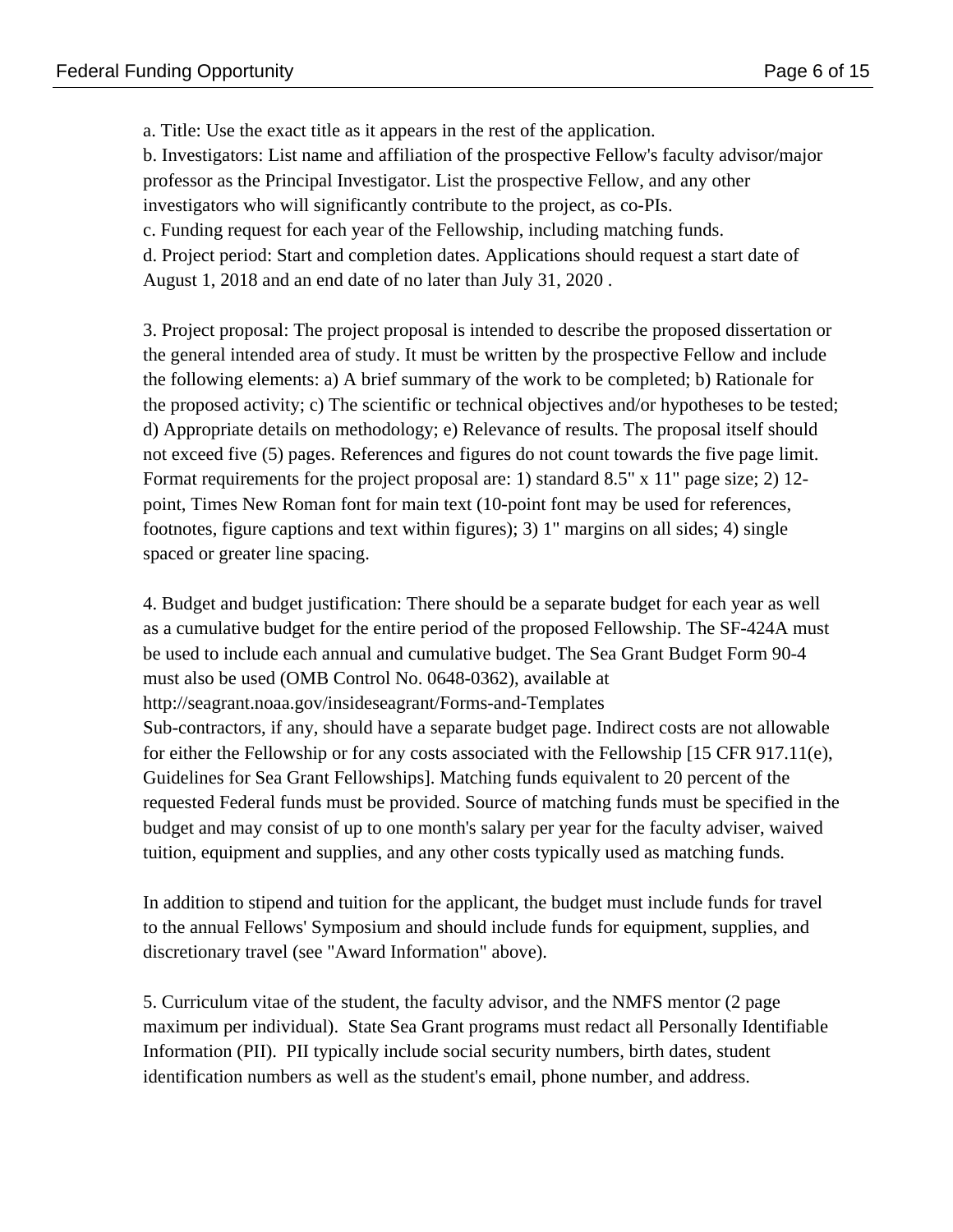a. Title: Use the exact title as it appears in the rest of the application.

b. Investigators: List name and affiliation of the prospective Fellow's faculty advisor/major professor as the Principal Investigator. List the prospective Fellow, and any other

investigators who will significantly contribute to the project, as co-PIs.

c. Funding request for each year of the Fellowship, including matching funds.

d. Project period: Start and completion dates. Applications should request a start date of August 1, 2018 and an end date of no later than July 31, 2020 .

3. Project proposal: The project proposal is intended to describe the proposed dissertation or the general intended area of study. It must be written by the prospective Fellow and include the following elements: a) A brief summary of the work to be completed; b) Rationale for the proposed activity; c) The scientific or technical objectives and/or hypotheses to be tested; d) Appropriate details on methodology; e) Relevance of results. The proposal itself should not exceed five (5) pages. References and figures do not count towards the five page limit. Format requirements for the project proposal are: 1) standard 8.5" x 11" page size; 2) 12 point, Times New Roman font for main text (10-point font may be used for references, footnotes, figure captions and text within figures); 3) 1" margins on all sides; 4) single spaced or greater line spacing.

4. Budget and budget justification: There should be a separate budget for each year as well as a cumulative budget for the entire period of the proposed Fellowship. The SF-424A must be used to include each annual and cumulative budget. The Sea Grant Budget Form 90-4 must also be used (OMB Control No. 0648-0362), available at http://seagrant.noaa.gov/insideseagrant/Forms-and-Templates Sub-contractors, if any, should have a separate budget page. Indirect costs are not allowable for either the Fellowship or for any costs associated with the Fellowship [15 CFR 917.11(e), Guidelines for Sea Grant Fellowships]. Matching funds equivalent to 20 percent of the requested Federal funds must be provided. Source of matching funds must be specified in the budget and may consist of up to one month's salary per year for the faculty adviser, waived tuition, equipment and supplies, and any other costs typically used as matching funds.

In addition to stipend and tuition for the applicant, the budget must include funds for travel to the annual Fellows' Symposium and should include funds for equipment, supplies, and discretionary travel (see "Award Information" above).

5. Curriculum vitae of the student, the faculty advisor, and the NMFS mentor (2 page maximum per individual). State Sea Grant programs must redact all Personally Identifiable Information (PII). PII typically include social security numbers, birth dates, student identification numbers as well as the student's email, phone number, and address.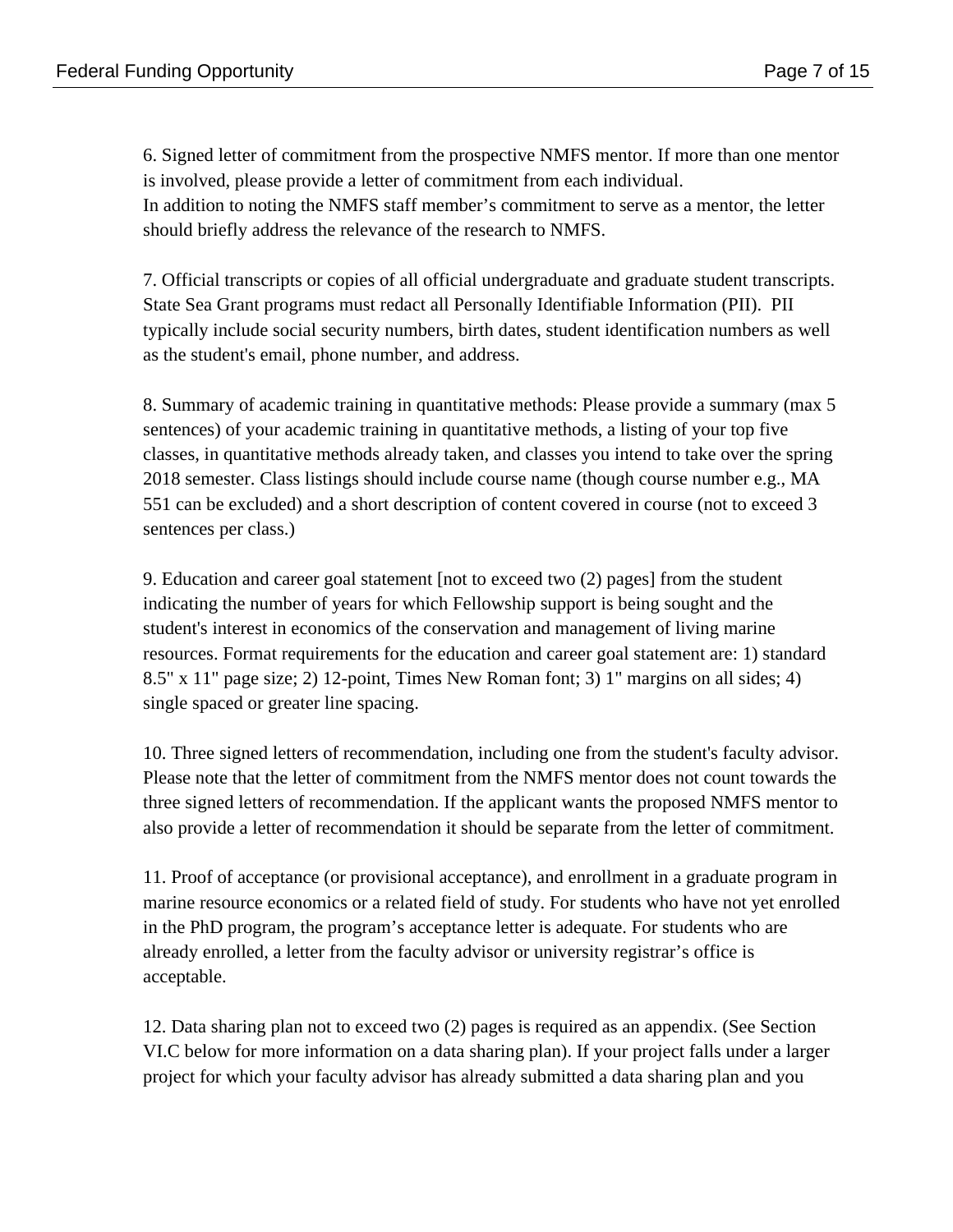6. Signed letter of commitment from the prospective NMFS mentor. If more than one mentor is involved, please provide a letter of commitment from each individual. In addition to noting the NMFS staff member's commitment to serve as a mentor, the letter should briefly address the relevance of the research to NMFS.

7. Official transcripts or copies of all official undergraduate and graduate student transcripts. State Sea Grant programs must redact all Personally Identifiable Information (PII). PII typically include social security numbers, birth dates, student identification numbers as well as the student's email, phone number, and address.

8. Summary of academic training in quantitative methods: Please provide a summary (max 5 sentences) of your academic training in quantitative methods, a listing of your top five classes, in quantitative methods already taken, and classes you intend to take over the spring 2018 semester. Class listings should include course name (though course number e.g., MA 551 can be excluded) and a short description of content covered in course (not to exceed 3 sentences per class.)

9. Education and career goal statement [not to exceed two (2) pages] from the student indicating the number of years for which Fellowship support is being sought and the student's interest in economics of the conservation and management of living marine resources. Format requirements for the education and career goal statement are: 1) standard 8.5" x 11" page size; 2) 12-point, Times New Roman font; 3) 1" margins on all sides; 4) single spaced or greater line spacing.

10. Three signed letters of recommendation, including one from the student's faculty advisor. Please note that the letter of commitment from the NMFS mentor does not count towards the three signed letters of recommendation. If the applicant wants the proposed NMFS mentor to also provide a letter of recommendation it should be separate from the letter of commitment.

11. Proof of acceptance (or provisional acceptance), and enrollment in a graduate program in marine resource economics or a related field of study. For students who have not yet enrolled in the PhD program, the program's acceptance letter is adequate. For students who are already enrolled, a letter from the faculty advisor or university registrar's office is acceptable.

12. Data sharing plan not to exceed two (2) pages is required as an appendix. (See Section VI.C below for more information on a data sharing plan). If your project falls under a larger project for which your faculty advisor has already submitted a data sharing plan and you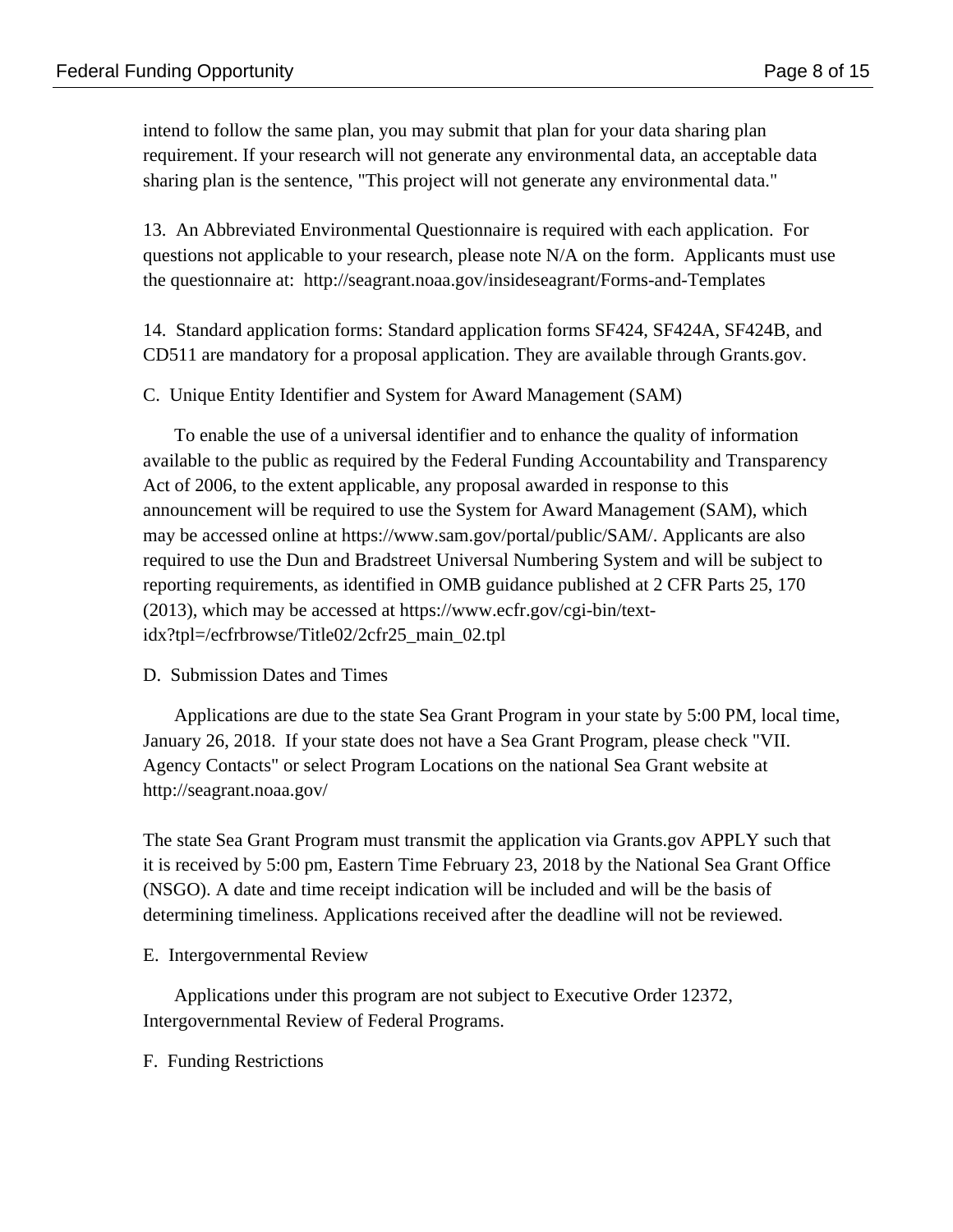intend to follow the same plan, you may submit that plan for your data sharing plan requirement. If your research will not generate any environmental data, an acceptable data sharing plan is the sentence, "This project will not generate any environmental data."

13. An Abbreviated Environmental Questionnaire is required with each application. For questions not applicable to your research, please note N/A on the form. Applicants must use the questionnaire at: http://seagrant.noaa.gov/insideseagrant/Forms-and-Templates

14. Standard application forms: Standard application forms SF424, SF424A, SF424B, and CD511 are mandatory for a proposal application. They are available through Grants.gov.

C. Unique Entity Identifier and System for Award Management (SAM)

To enable the use of a universal identifier and to enhance the quality of information available to the public as required by the Federal Funding Accountability and Transparency Act of 2006, to the extent applicable, any proposal awarded in response to this announcement will be required to use the System for Award Management (SAM), which may be accessed online at https://www.sam.gov/portal/public/SAM/. Applicants are also required to use the Dun and Bradstreet Universal Numbering System and will be subject to reporting requirements, as identified in OMB guidance published at 2 CFR Parts 25, 170 (2013), which may be accessed at https://www.ecfr.gov/cgi-bin/textidx?tpl=/ecfrbrowse/Title02/2cfr25\_main\_02.tpl

#### D. Submission Dates and Times

Applications are due to the state Sea Grant Program in your state by 5:00 PM, local time, January 26, 2018. If your state does not have a Sea Grant Program, please check "VII. Agency Contacts" or select Program Locations on the national Sea Grant website at http://seagrant.noaa.gov/

The state Sea Grant Program must transmit the application via Grants.gov APPLY such that it is received by 5:00 pm, Eastern Time February 23, 2018 by the National Sea Grant Office (NSGO). A date and time receipt indication will be included and will be the basis of determining timeliness. Applications received after the deadline will not be reviewed.

E. Intergovernmental Review

Applications under this program are not subject to Executive Order 12372, Intergovernmental Review of Federal Programs.

F. Funding Restrictions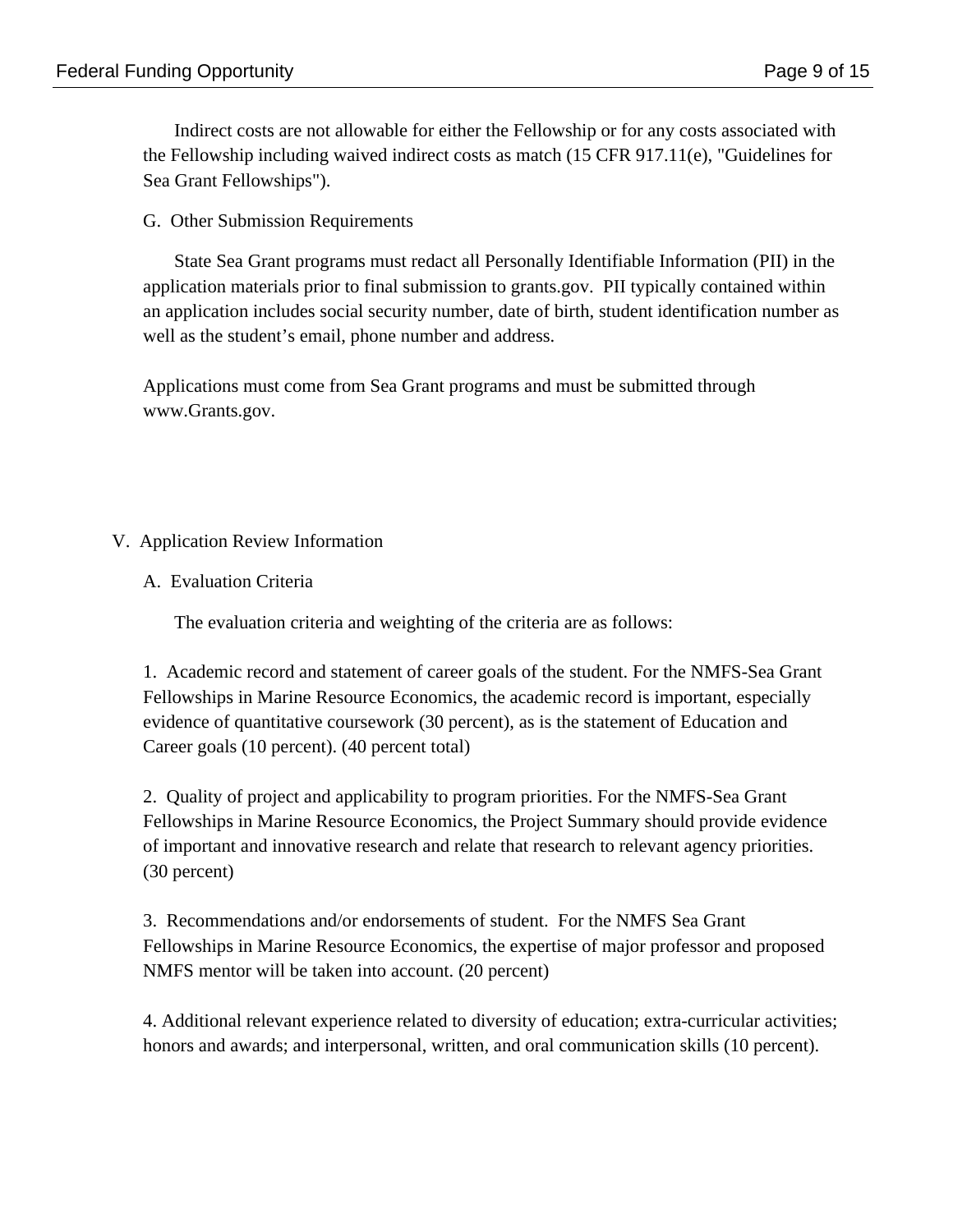Indirect costs are not allowable for either the Fellowship or for any costs associated with the Fellowship including waived indirect costs as match (15 CFR 917.11(e), "Guidelines for Sea Grant Fellowships").

G. Other Submission Requirements

State Sea Grant programs must redact all Personally Identifiable Information (PII) in the application materials prior to final submission to grants.gov. PII typically contained within an application includes social security number, date of birth, student identification number as well as the student's email, phone number and address.

Applications must come from Sea Grant programs and must be submitted through www.Grants.gov.

# V. Application Review Information

A. Evaluation Criteria

The evaluation criteria and weighting of the criteria are as follows:

1. Academic record and statement of career goals of the student. For the NMFS-Sea Grant Fellowships in Marine Resource Economics, the academic record is important, especially evidence of quantitative coursework (30 percent), as is the statement of Education and Career goals (10 percent). (40 percent total)

2. Quality of project and applicability to program priorities. For the NMFS-Sea Grant Fellowships in Marine Resource Economics, the Project Summary should provide evidence of important and innovative research and relate that research to relevant agency priorities. (30 percent)

3. Recommendations and/or endorsements of student. For the NMFS Sea Grant Fellowships in Marine Resource Economics, the expertise of major professor and proposed NMFS mentor will be taken into account. (20 percent)

4. Additional relevant experience related to diversity of education; extra-curricular activities; honors and awards; and interpersonal, written, and oral communication skills (10 percent).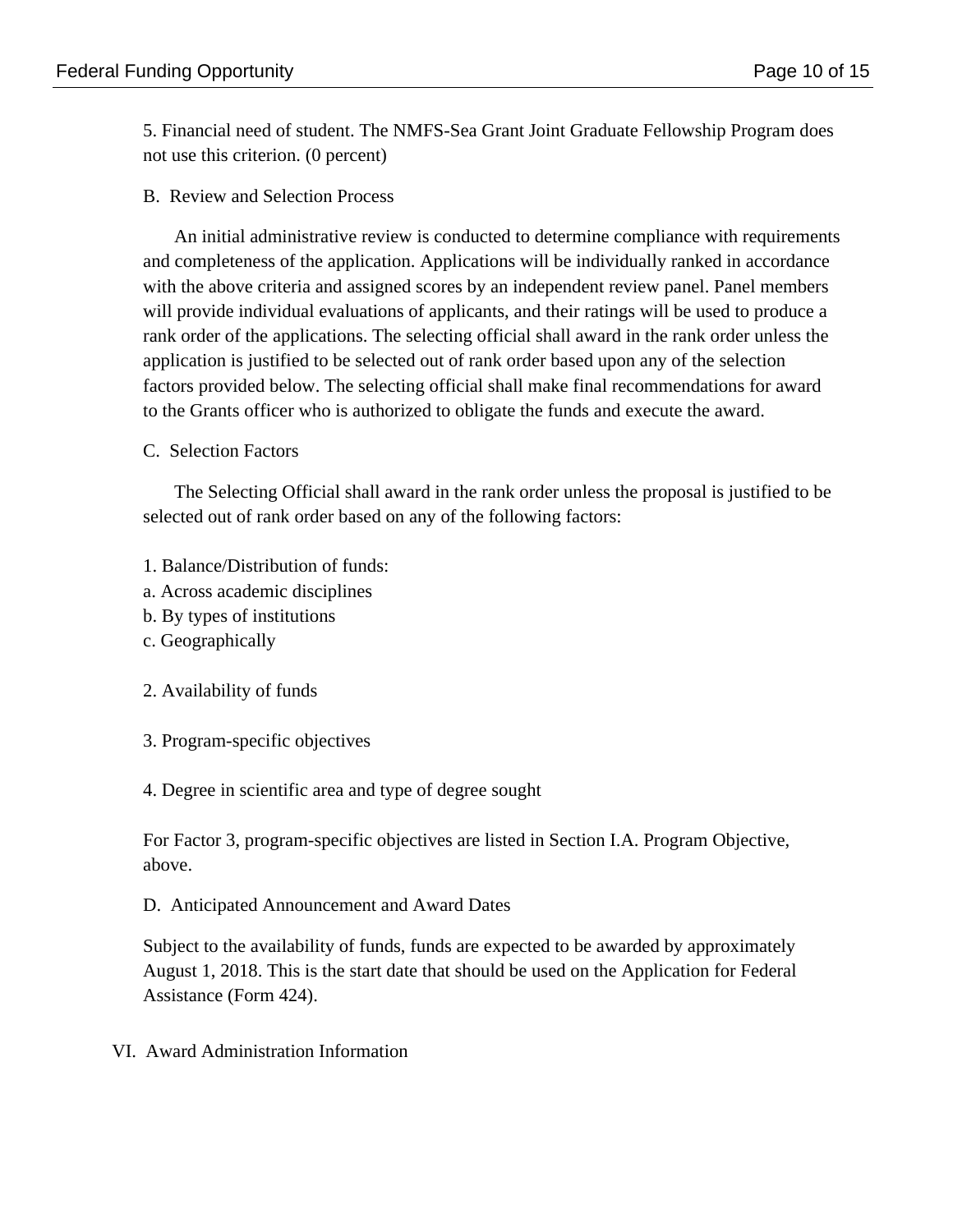5. Financial need of student. The NMFS-Sea Grant Joint Graduate Fellowship Program does not use this criterion. (0 percent)

B. Review and Selection Process

An initial administrative review is conducted to determine compliance with requirements and completeness of the application. Applications will be individually ranked in accordance with the above criteria and assigned scores by an independent review panel. Panel members will provide individual evaluations of applicants, and their ratings will be used to produce a rank order of the applications. The selecting official shall award in the rank order unless the application is justified to be selected out of rank order based upon any of the selection factors provided below. The selecting official shall make final recommendations for award to the Grants officer who is authorized to obligate the funds and execute the award.

### C. Selection Factors

The Selecting Official shall award in the rank order unless the proposal is justified to be selected out of rank order based on any of the following factors:

- 1. Balance/Distribution of funds:
- a. Across academic disciplines
- b. By types of institutions
- c. Geographically
- 2. Availability of funds
- 3. Program-specific objectives

### 4. Degree in scientific area and type of degree sought

For Factor 3, program-specific objectives are listed in Section I.A. Program Objective, above.

### D. Anticipated Announcement and Award Dates

Subject to the availability of funds, funds are expected to be awarded by approximately August 1, 2018. This is the start date that should be used on the Application for Federal Assistance (Form 424).

VI. Award Administration Information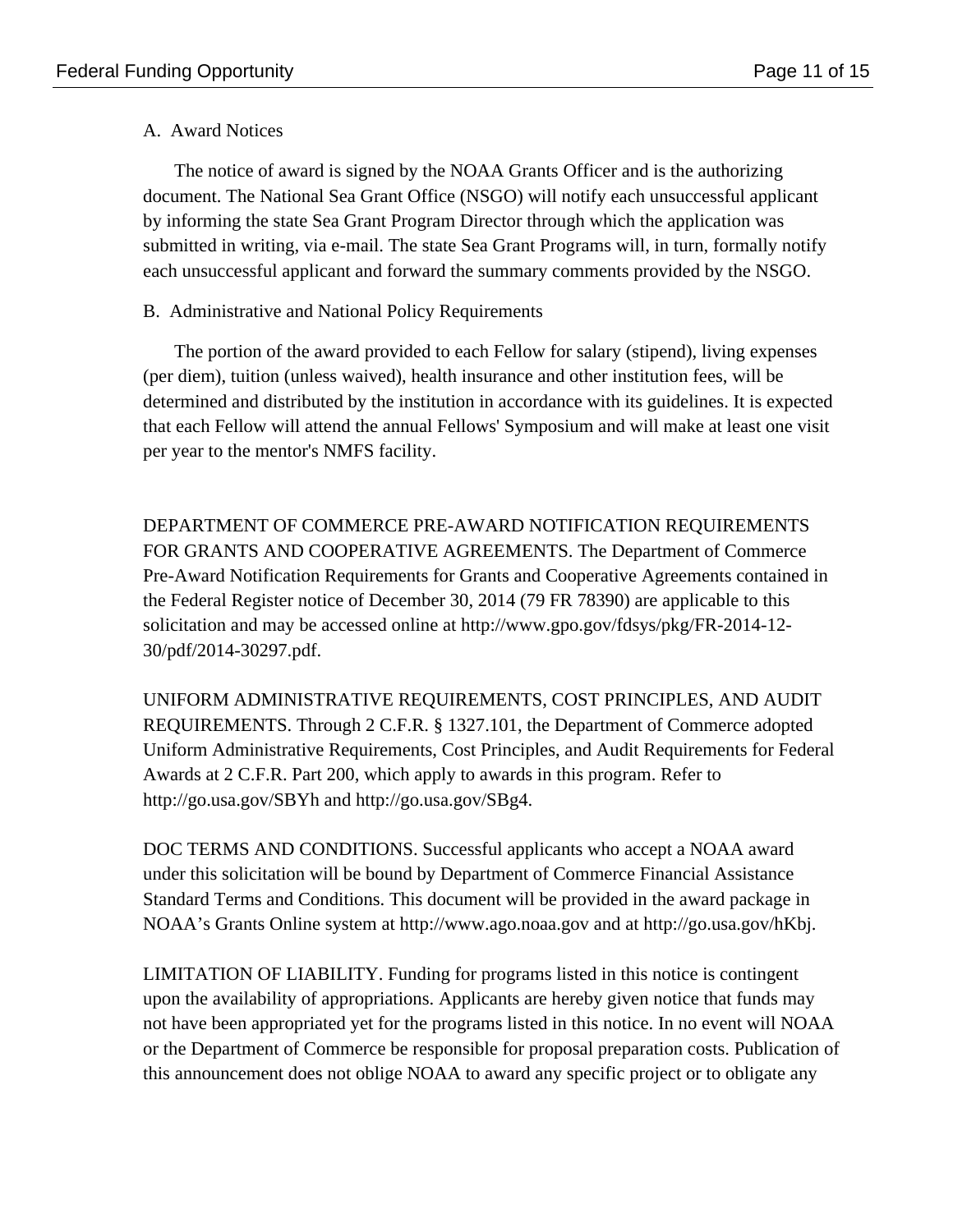## A. Award Notices

The notice of award is signed by the NOAA Grants Officer and is the authorizing document. The National Sea Grant Office (NSGO) will notify each unsuccessful applicant by informing the state Sea Grant Program Director through which the application was submitted in writing, via e-mail. The state Sea Grant Programs will, in turn, formally notify each unsuccessful applicant and forward the summary comments provided by the NSGO.

# B. Administrative and National Policy Requirements

The portion of the award provided to each Fellow for salary (stipend), living expenses (per diem), tuition (unless waived), health insurance and other institution fees, will be determined and distributed by the institution in accordance with its guidelines. It is expected that each Fellow will attend the annual Fellows' Symposium and will make at least one visit per year to the mentor's NMFS facility.

DEPARTMENT OF COMMERCE PRE-AWARD NOTIFICATION REQUIREMENTS FOR GRANTS AND COOPERATIVE AGREEMENTS. The Department of Commerce Pre-Award Notification Requirements for Grants and Cooperative Agreements contained in the Federal Register notice of December 30, 2014 (79 FR 78390) are applicable to this solicitation and may be accessed online at http://www.gpo.gov/fdsys/pkg/FR-2014-12- 30/pdf/2014-30297.pdf.

UNIFORM ADMINISTRATIVE REQUIREMENTS, COST PRINCIPLES, AND AUDIT REQUIREMENTS. Through 2 C.F.R. § 1327.101, the Department of Commerce adopted Uniform Administrative Requirements, Cost Principles, and Audit Requirements for Federal Awards at 2 C.F.R. Part 200, which apply to awards in this program. Refer to http://go.usa.gov/SBYh and http://go.usa.gov/SBg4.

DOC TERMS AND CONDITIONS. Successful applicants who accept a NOAA award under this solicitation will be bound by Department of Commerce Financial Assistance Standard Terms and Conditions. This document will be provided in the award package in NOAA's Grants Online system at http://www.ago.noaa.gov and at http://go.usa.gov/hKbj.

LIMITATION OF LIABILITY. Funding for programs listed in this notice is contingent upon the availability of appropriations. Applicants are hereby given notice that funds may not have been appropriated yet for the programs listed in this notice. In no event will NOAA or the Department of Commerce be responsible for proposal preparation costs. Publication of this announcement does not oblige NOAA to award any specific project or to obligate any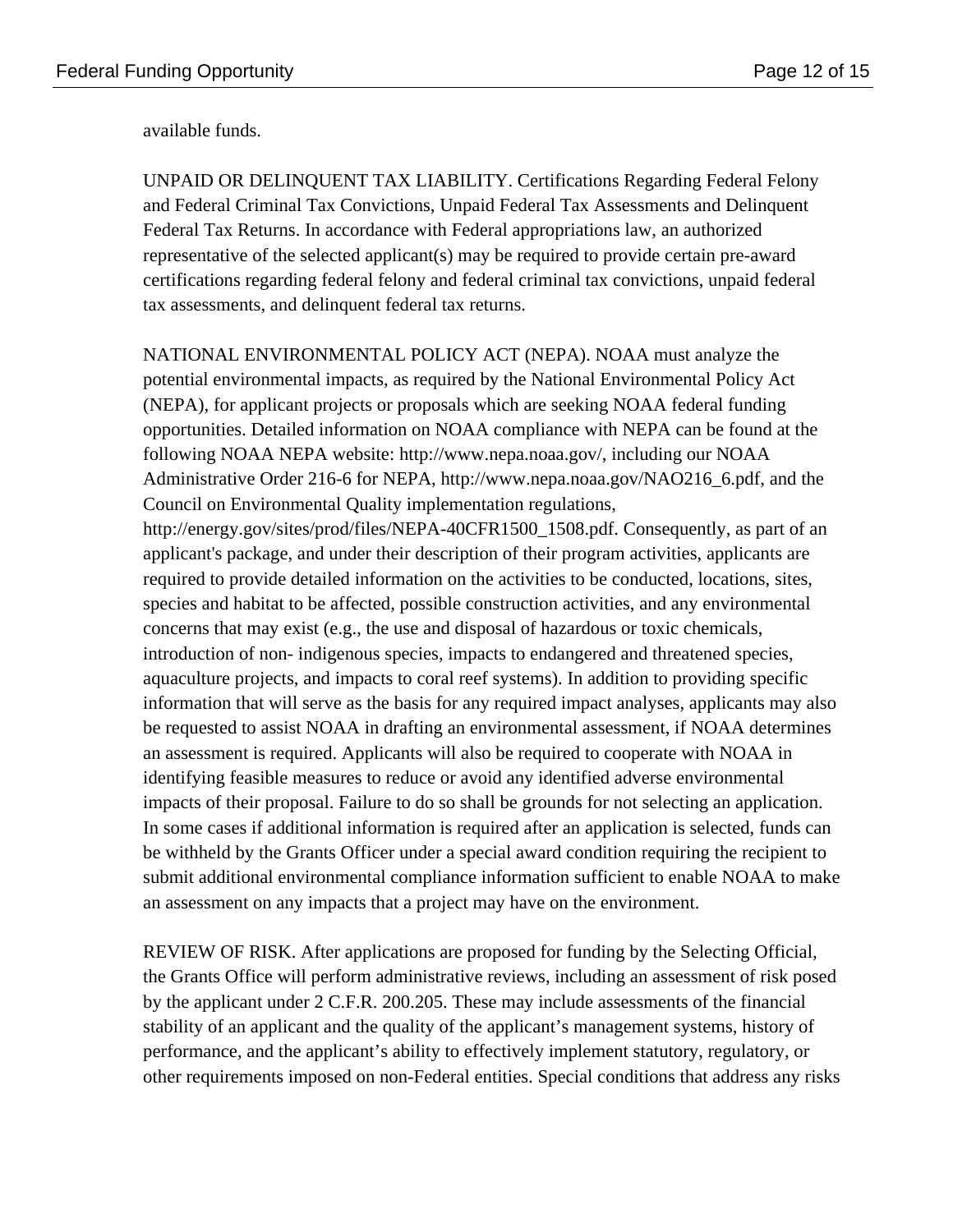available funds.

UNPAID OR DELINQUENT TAX LIABILITY. Certifications Regarding Federal Felony and Federal Criminal Tax Convictions, Unpaid Federal Tax Assessments and Delinquent Federal Tax Returns. In accordance with Federal appropriations law, an authorized representative of the selected applicant(s) may be required to provide certain pre-award certifications regarding federal felony and federal criminal tax convictions, unpaid federal tax assessments, and delinquent federal tax returns.

NATIONAL ENVIRONMENTAL POLICY ACT (NEPA). NOAA must analyze the potential environmental impacts, as required by the National Environmental Policy Act (NEPA), for applicant projects or proposals which are seeking NOAA federal funding opportunities. Detailed information on NOAA compliance with NEPA can be found at the following NOAA NEPA website: http://www.nepa.noaa.gov/, including our NOAA Administrative Order 216-6 for NEPA, http://www.nepa.noaa.gov/NAO216\_6.pdf, and the Council on Environmental Quality implementation regulations,

http://energy.gov/sites/prod/files/NEPA-40CFR1500\_1508.pdf. Consequently, as part of an applicant's package, and under their description of their program activities, applicants are required to provide detailed information on the activities to be conducted, locations, sites, species and habitat to be affected, possible construction activities, and any environmental concerns that may exist (e.g., the use and disposal of hazardous or toxic chemicals, introduction of non- indigenous species, impacts to endangered and threatened species, aquaculture projects, and impacts to coral reef systems). In addition to providing specific information that will serve as the basis for any required impact analyses, applicants may also be requested to assist NOAA in drafting an environmental assessment, if NOAA determines an assessment is required. Applicants will also be required to cooperate with NOAA in identifying feasible measures to reduce or avoid any identified adverse environmental impacts of their proposal. Failure to do so shall be grounds for not selecting an application. In some cases if additional information is required after an application is selected, funds can be withheld by the Grants Officer under a special award condition requiring the recipient to submit additional environmental compliance information sufficient to enable NOAA to make an assessment on any impacts that a project may have on the environment.

REVIEW OF RISK. After applications are proposed for funding by the Selecting Official, the Grants Office will perform administrative reviews, including an assessment of risk posed by the applicant under 2 C.F.R. 200.205. These may include assessments of the financial stability of an applicant and the quality of the applicant's management systems, history of performance, and the applicant's ability to effectively implement statutory, regulatory, or other requirements imposed on non-Federal entities. Special conditions that address any risks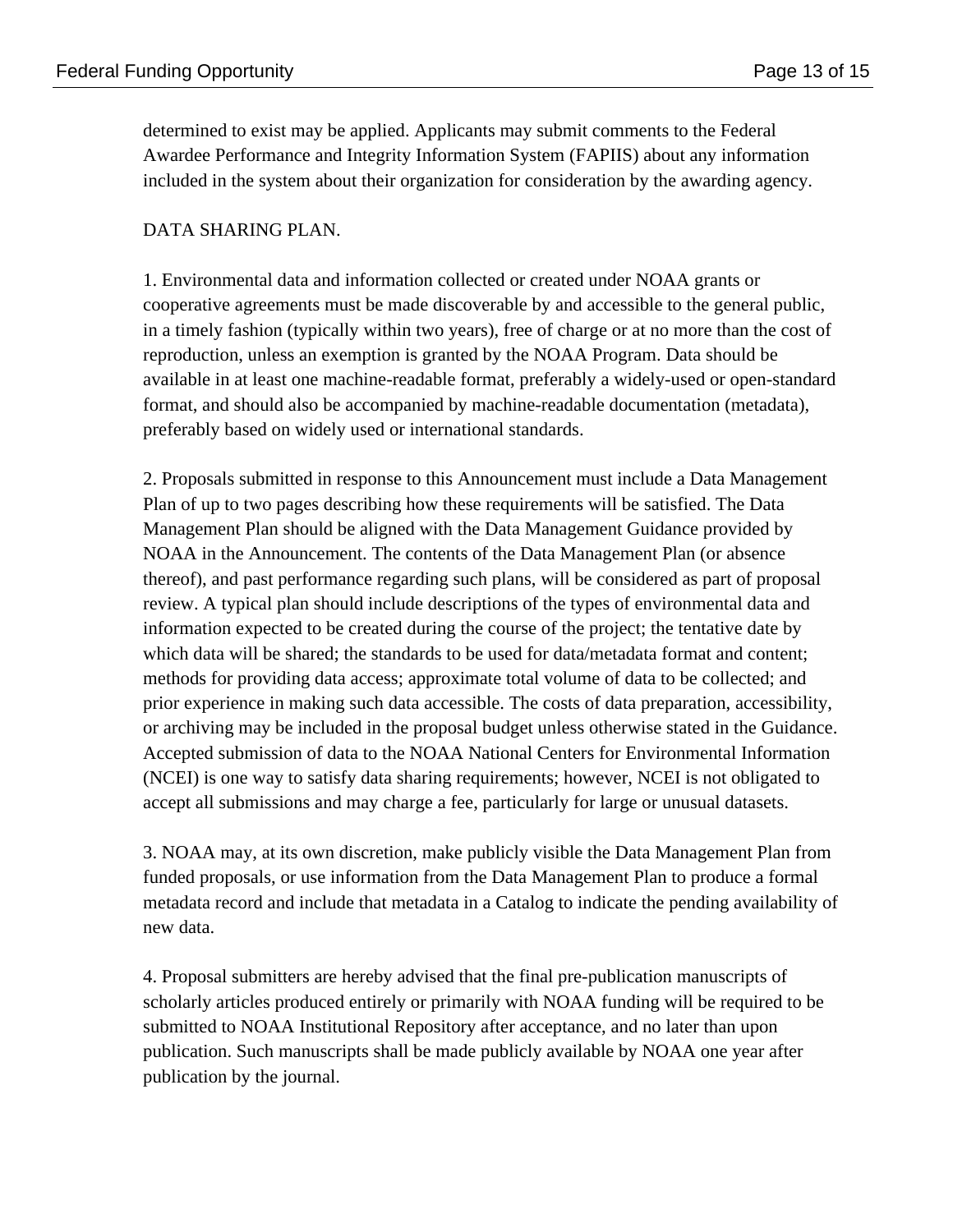determined to exist may be applied. Applicants may submit comments to the Federal Awardee Performance and Integrity Information System (FAPIIS) about any information included in the system about their organization for consideration by the awarding agency.

### DATA SHARING PLAN.

1. Environmental data and information collected or created under NOAA grants or cooperative agreements must be made discoverable by and accessible to the general public, in a timely fashion (typically within two years), free of charge or at no more than the cost of reproduction, unless an exemption is granted by the NOAA Program. Data should be available in at least one machine-readable format, preferably a widely-used or open-standard format, and should also be accompanied by machine-readable documentation (metadata), preferably based on widely used or international standards.

2. Proposals submitted in response to this Announcement must include a Data Management Plan of up to two pages describing how these requirements will be satisfied. The Data Management Plan should be aligned with the Data Management Guidance provided by NOAA in the Announcement. The contents of the Data Management Plan (or absence thereof), and past performance regarding such plans, will be considered as part of proposal review. A typical plan should include descriptions of the types of environmental data and information expected to be created during the course of the project; the tentative date by which data will be shared; the standards to be used for data/metadata format and content; methods for providing data access; approximate total volume of data to be collected; and prior experience in making such data accessible. The costs of data preparation, accessibility, or archiving may be included in the proposal budget unless otherwise stated in the Guidance. Accepted submission of data to the NOAA National Centers for Environmental Information (NCEI) is one way to satisfy data sharing requirements; however, NCEI is not obligated to accept all submissions and may charge a fee, particularly for large or unusual datasets.

3. NOAA may, at its own discretion, make publicly visible the Data Management Plan from funded proposals, or use information from the Data Management Plan to produce a formal metadata record and include that metadata in a Catalog to indicate the pending availability of new data.

4. Proposal submitters are hereby advised that the final pre-publication manuscripts of scholarly articles produced entirely or primarily with NOAA funding will be required to be submitted to NOAA Institutional Repository after acceptance, and no later than upon publication. Such manuscripts shall be made publicly available by NOAA one year after publication by the journal.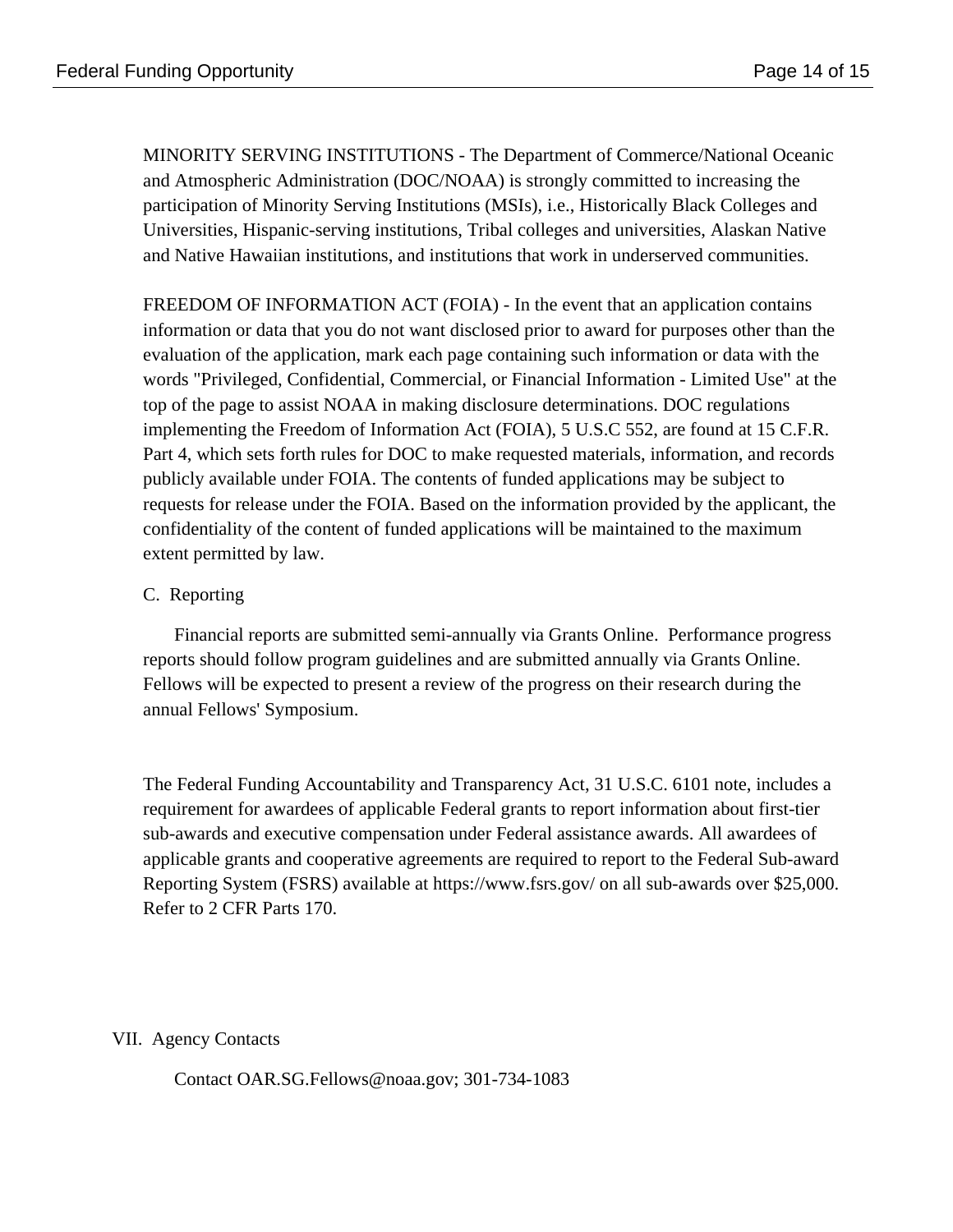MINORITY SERVING INSTITUTIONS - The Department of Commerce/National Oceanic and Atmospheric Administration (DOC/NOAA) is strongly committed to increasing the participation of Minority Serving Institutions (MSIs), i.e., Historically Black Colleges and Universities, Hispanic-serving institutions, Tribal colleges and universities, Alaskan Native and Native Hawaiian institutions, and institutions that work in underserved communities.

FREEDOM OF INFORMATION ACT (FOIA) - In the event that an application contains information or data that you do not want disclosed prior to award for purposes other than the evaluation of the application, mark each page containing such information or data with the words "Privileged, Confidential, Commercial, or Financial Information - Limited Use" at the top of the page to assist NOAA in making disclosure determinations. DOC regulations implementing the Freedom of Information Act (FOIA), 5 U.S.C 552, are found at 15 C.F.R. Part 4, which sets forth rules for DOC to make requested materials, information, and records publicly available under FOIA. The contents of funded applications may be subject to requests for release under the FOIA. Based on the information provided by the applicant, the confidentiality of the content of funded applications will be maintained to the maximum extent permitted by law.

# C. Reporting

Financial reports are submitted semi-annually via Grants Online. Performance progress reports should follow program guidelines and are submitted annually via Grants Online. Fellows will be expected to present a review of the progress on their research during the annual Fellows' Symposium.

The Federal Funding Accountability and Transparency Act, 31 U.S.C. 6101 note, includes a requirement for awardees of applicable Federal grants to report information about first-tier sub-awards and executive compensation under Federal assistance awards. All awardees of applicable grants and cooperative agreements are required to report to the Federal Sub-award Reporting System (FSRS) available at https://www.fsrs.gov/ on all sub-awards over \$25,000. Refer to 2 CFR Parts 170.

VII. Agency Contacts

Contact OAR.SG.Fellows@noaa.gov; 301-734-1083